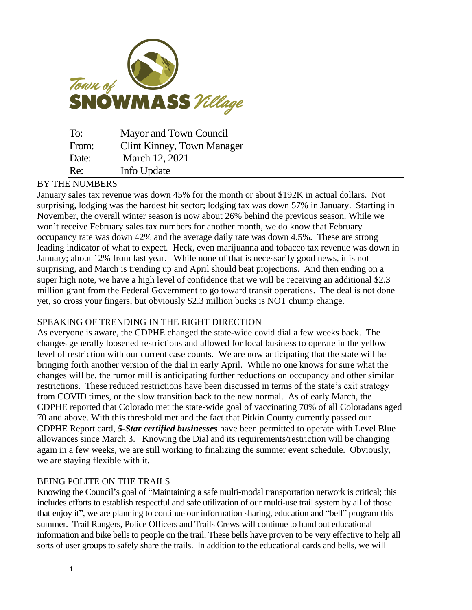

| To:   | Mayor and Town Council     |
|-------|----------------------------|
| From: | Clint Kinney, Town Manager |
| Date: | March 12, 2021             |
| Re:   | Info Update                |

## BY THE NUMBERS

January sales tax revenue was down 45% for the month or about \$192K in actual dollars. Not surprising, lodging was the hardest hit sector; lodging tax was down 57% in January. Starting in November, the overall winter season is now about 26% behind the previous season. While we won't receive February sales tax numbers for another month, we do know that February occupancy rate was down 42% and the average daily rate was down 4.5%. These are strong leading indicator of what to expect. Heck, even marijuanna and tobacco tax revenue was down in January; about 12% from last year. While none of that is necessarily good news, it is not surprising, and March is trending up and April should beat projections. And then ending on a super high note, we have a high level of confidence that we will be receiving an additional \$2.3 million grant from the Federal Government to go toward transit operations. The deal is not done yet, so cross your fingers, but obviously \$2.3 million bucks is NOT chump change.

## SPEAKING OF TRENDING IN THE RIGHT DIRECTION

As everyone is aware, the CDPHE changed the state-wide covid dial a few weeks back. The changes generally loosened restrictions and allowed for local business to operate in the yellow level of restriction with our current case counts. We are now anticipating that the state will be bringing forth another version of the dial in early April. While no one knows for sure what the changes will be, the rumor mill is anticipating further reductions on occupancy and other similar restrictions. These reduced restrictions have been discussed in terms of the state's exit strategy from COVID times, or the slow transition back to the new normal. As of early March, the CDPHE reported that Colorado met the state-wide goal of vaccinating 70% of all Coloradans aged 70 and above. With this threshold met and the fact that Pitkin County currently passed our CDPHE Report card, *5-Star certified businesses* have been permitted to operate with Level Blue allowances since March 3. Knowing the Dial and its requirements/restriction will be changing again in a few weeks, we are still working to finalizing the summer event schedule. Obviously, we are staying flexible with it.

#### BEING POLITE ON THE TRAILS

Knowing the Council's goal of "Maintaining a safe multi-modal transportation network is critical; this includes efforts to establish respectful and safe utilization of our multi-use trail system by all of those that enjoy it", we are planning to continue our information sharing, education and "bell" program this summer. Trail Rangers, Police Officers and Trails Crews will continue to hand out educational information and bike bells to people on the trail. These bells have proven to be very effective to help all sorts of user groups to safely share the trails. In addition to the educational cards and bells, we will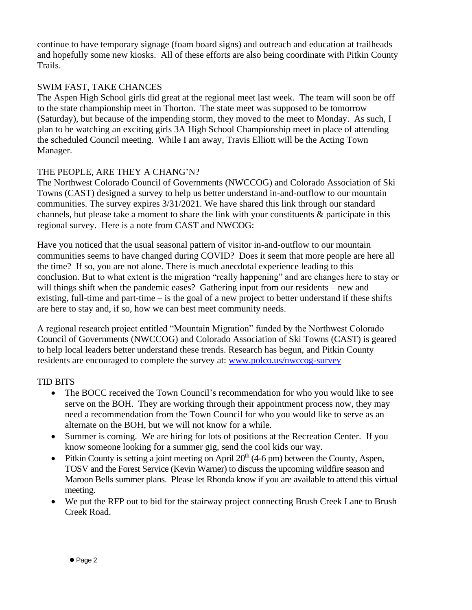continue to have temporary signage (foam board signs) and outreach and education at trailheads and hopefully some new kiosks. All of these efforts are also being coordinate with Pitkin County Trails.

## SWIM FAST, TAKE CHANCES

The Aspen High School girls did great at the regional meet last week. The team will soon be off to the state championship meet in Thorton. The state meet was supposed to be tomorrow (Saturday), but because of the impending storm, they moved to the meet to Monday. As such, I plan to be watching an exciting girls 3A High School Championship meet in place of attending the scheduled Council meeting. While I am away, Travis Elliott will be the Acting Town Manager.

# THE PEOPLE, ARE THEY A CHANG'N?

The Northwest Colorado Council of Governments (NWCCOG) and Colorado Association of Ski Towns (CAST) designed a survey to help us better understand in-and-outflow to our mountain communities. The survey expires 3/31/2021. We have shared this link through our standard channels, but please take a moment to share the link with your constituents & participate in this regional survey. Here is a note from CAST and NWCOG:

Have you noticed that the usual seasonal pattern of visitor in-and-outflow to our mountain communities seems to have changed during COVID? Does it seem that more people are here all the time? If so, you are not alone. There is much anecdotal experience leading to this conclusion. But to what extent is the migration "really happening" and are changes here to stay or will things shift when the pandemic eases? Gathering input from our residents – new and existing, full-time and part-time – is the goal of a new project to better understand if these shifts are here to stay and, if so, how we can best meet community needs.

A regional research project entitled "Mountain Migration" funded by the Northwest Colorado Council of Governments (NWCCOG) and Colorado Association of Ski Towns (CAST) is geared to help local leaders better understand these trends. Research has begun, and Pitkin County residents are encouraged to complete the survey at: [www.polco.us/nwccog-survey](http://www.polco.us/nwccog-survey) 

## TID BITS

- The BOCC received the Town Council's recommendation for who you would like to see serve on the BOH. They are working through their appointment process now, they may need a recommendation from the Town Council for who you would like to serve as an alternate on the BOH, but we will not know for a while.
- Summer is coming. We are hiring for lots of positions at the Recreation Center. If you know someone looking for a summer gig, send the cool kids our way.
- Pitkin County is setting a joint meeting on April  $20<sup>th</sup> (4-6 pm)$  between the County, Aspen, TOSV and the Forest Service (Kevin Warner) to discuss the upcoming wildfire season and Maroon Bells summer plans. Please let Rhonda know if you are available to attend this virtual meeting.
- We put the RFP out to bid for the stairway project connecting Brush Creek Lane to Brush Creek Road.